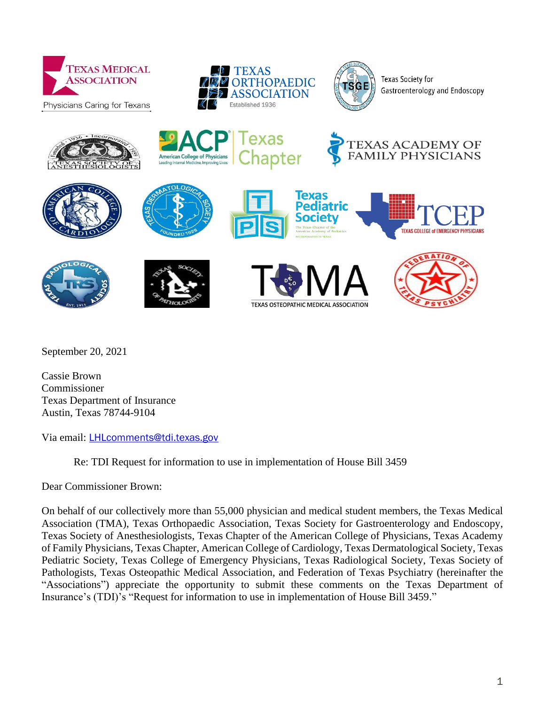



axas

apter



Texas Society for Gastroenterology and Endoscopy

**EXAS ACADEMY OF** 

**FAMILY PHYSICIANS** 







American College of Physicians









Texas Pediatric Societv



**TEXAS COLLEGE of EMERGENCY PHYSICIANS** 

September 20, 2021

Cassie Brown Commissioner Texas Department of Insurance Austin, Texas 78744-9104

Via email: [LHLcomments@tdi.texas.gov](mailto:LHLcomments@tdi.texas.gov)

Re: TDI Request for information to use in implementation of House Bill 3459

Dear Commissioner Brown:

On behalf of our collectively more than 55,000 physician and medical student members, the Texas Medical Association (TMA), Texas Orthopaedic Association, Texas Society for Gastroenterology and Endoscopy, Texas Society of Anesthesiologists, Texas Chapter of the American College of Physicians, Texas Academy of Family Physicians, Texas Chapter, American College of Cardiology, Texas Dermatological Society, Texas Pediatric Society, Texas College of Emergency Physicians, Texas Radiological Society, Texas Society of Pathologists, Texas Osteopathic Medical Association, and Federation of Texas Psychiatry (hereinafter the "Associations") appreciate the opportunity to submit these comments on the Texas Department of Insurance's (TDI)'s "Request for information to use in implementation of House Bill 3459."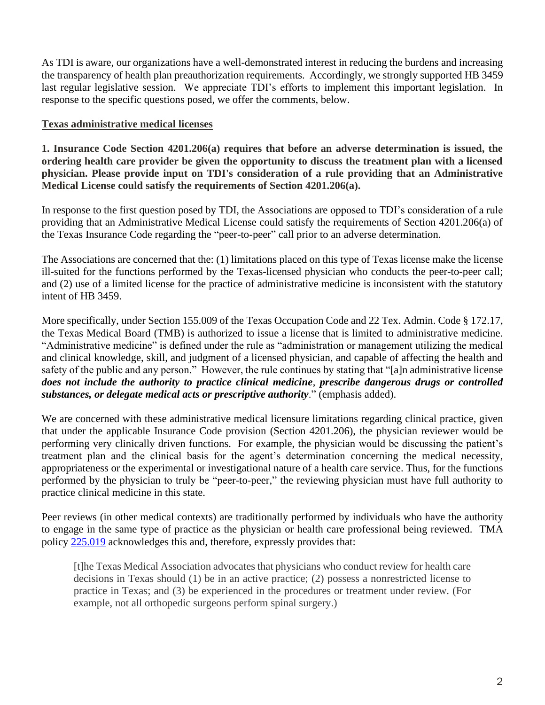As TDI is aware, our organizations have a well-demonstrated interest in reducing the burdens and increasing the transparency of health plan preauthorization requirements. Accordingly, we strongly supported HB 3459 last regular legislative session. We appreciate TDI's efforts to implement this important legislation. In response to the specific questions posed, we offer the comments, below.

### **Texas administrative medical licenses**

**1. Insurance Code Section 4201.206(a) requires that before an adverse determination is issued, the ordering health care provider be given the opportunity to discuss the treatment plan with a licensed physician. Please provide input on TDI's consideration of a rule providing that an Administrative Medical License could satisfy the requirements of Section 4201.206(a).**

In response to the first question posed by TDI, the Associations are opposed to TDI's consideration of a rule providing that an Administrative Medical License could satisfy the requirements of Section 4201.206(a) of the Texas Insurance Code regarding the "peer-to-peer" call prior to an adverse determination.

The Associations are concerned that the: (1) limitations placed on this type of Texas license make the license ill-suited for the functions performed by the Texas-licensed physician who conducts the peer-to-peer call; and (2) use of a limited license for the practice of administrative medicine is inconsistent with the statutory intent of HB 3459.

More specifically, under Section 155.009 of the Texas Occupation Code and 22 Tex. Admin. Code § 172.17, the Texas Medical Board (TMB) is authorized to issue a license that is limited to administrative medicine. "Administrative medicine" is defined under the rule as "administration or management utilizing the medical and clinical knowledge, skill, and judgment of a licensed physician, and capable of affecting the health and safety of the public and any person." However, the rule continues by stating that "[a]n administrative license *does not include the authority to practice clinical medicine*, *prescribe dangerous drugs or controlled substances, or delegate medical acts or prescriptive authority*." (emphasis added).

We are concerned with these administrative medical licensure limitations regarding clinical practice, given that under the applicable Insurance Code provision (Section 4201.206), the physician reviewer would be performing very clinically driven functions. For example, the physician would be discussing the patient's treatment plan and the clinical basis for the agent's determination concerning the medical necessity, appropriateness or the experimental or investigational nature of a health care service. Thus, for the functions performed by the physician to truly be "peer-to-peer," the reviewing physician must have full authority to practice clinical medicine in this state.

Peer reviews (in other medical contexts) are traditionally performed by individuals who have the authority to engage in the same type of practice as the physician or health care professional being reviewed. TMA policy [225.019](https://www.texmed.org/Template.aspx?id=43183&terms=peer%20review) acknowledges this and, therefore, expressly provides that:

[t]he Texas Medical Association advocates that physicians who conduct review for health care decisions in Texas should (1) be in an active practice; (2) possess a nonrestricted license to practice in Texas; and (3) be experienced in the procedures or treatment under review. (For example, not all orthopedic surgeons perform spinal surgery.)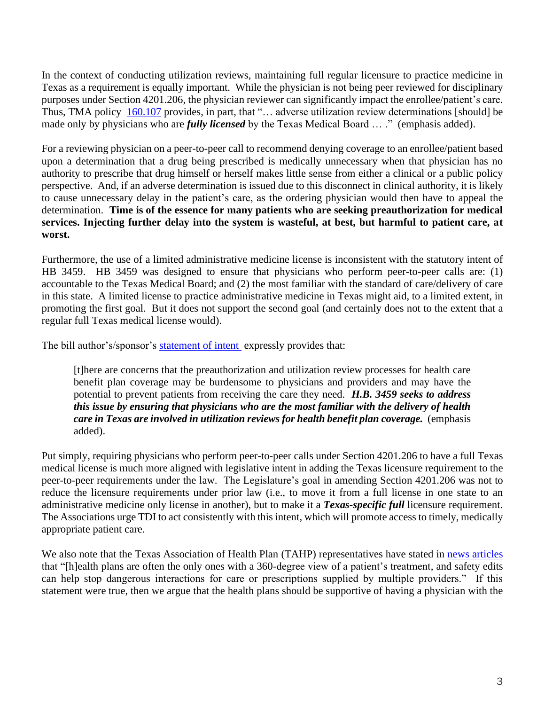In the context of conducting utilization reviews, maintaining full regular licensure to practice medicine in Texas as a requirement is equally important. While the physician is not being peer reviewed for disciplinary purposes under Section 4201.206, the physician reviewer can significantly impact the enrollee/patient's care. Thus, TMA policy [160.107](https://www.texmed.org/Template.aspx?id=42896&terms=peer%20review) provides, in part, that "... adverse utilization review determinations [should] be made only by physicians who are *fully licensed* by the Texas Medical Board … ." (emphasis added).

For a reviewing physician on a peer-to-peer call to recommend denying coverage to an enrollee/patient based upon a determination that a drug being prescribed is medically unnecessary when that physician has no authority to prescribe that drug himself or herself makes little sense from either a clinical or a public policy perspective. And, if an adverse determination is issued due to this disconnect in clinical authority, it is likely to cause unnecessary delay in the patient's care, as the ordering physician would then have to appeal the determination. **Time is of the essence for many patients who are seeking preauthorization for medical services. Injecting further delay into the system is wasteful, at best, but harmful to patient care, at worst.** 

Furthermore, the use of a limited administrative medicine license is inconsistent with the statutory intent of HB 3459. HB 3459 was designed to ensure that physicians who perform peer-to-peer calls are: (1) accountable to the Texas Medical Board; and (2) the most familiar with the standard of care/delivery of care in this state. A limited license to practice administrative medicine in Texas might aid, to a limited extent, in promoting the first goal. But it does not support the second goal (and certainly does not to the extent that a regular full Texas medical license would).

The bill author's/sponsor's [statement of intent](https://capitol.texas.gov/tlodocs/87R/analysis/pdf/HB03459E.pdf#navpanes=0) expressly provides that:

[t]here are concerns that the preauthorization and utilization review processes for health care benefit plan coverage may be burdensome to physicians and providers and may have the potential to prevent patients from receiving the care they need. *H.B. 3459 seeks to address this issue by ensuring that physicians who are the most familiar with the delivery of health care in Texas are involved in utilization reviews for health benefit plan coverage.* (emphasis added).

Put simply, requiring physicians who perform peer-to-peer calls under Section 4201.206 to have a full Texas medical license is much more aligned with legislative intent in adding the Texas licensure requirement to the peer-to-peer requirements under the law. The Legislature's goal in amending Section 4201.206 was not to reduce the licensure requirements under prior law (i.e., to move it from a full license in one state to an administrative medicine only license in another), but to make it a *Texas-specific full* licensure requirement. The Associations urge TDI to act consistently with this intent, which will promote access to timely, medically appropriate patient care.

We also note that the Texas Association of Health Plan (TAHP) representatives have stated in [news articles](https://medcitynews.com/2021/07/texas-law-eases-prior-auth-burdens-but-payers-see-it-as-a-dangerous-move/) that "[h]ealth plans are often the only ones with a 360-degree view of a patient's treatment, and safety edits can help stop dangerous interactions for care or prescriptions supplied by multiple providers." If this statement were true, then we argue that the health plans should be supportive of having a physician with the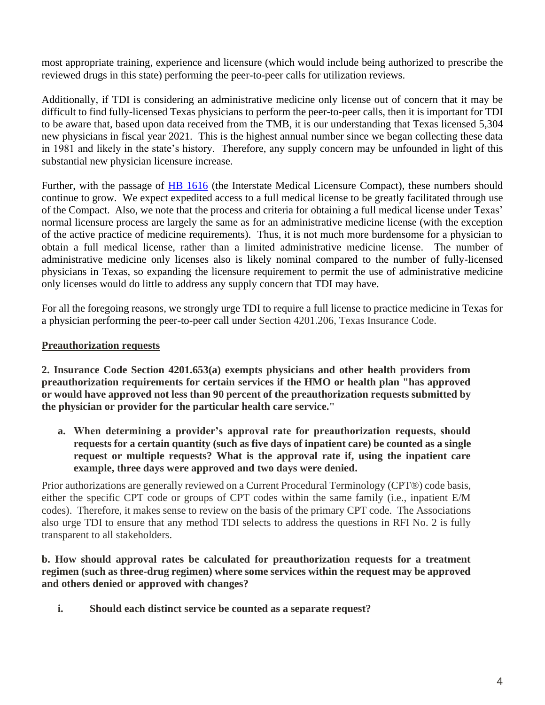most appropriate training, experience and licensure (which would include being authorized to prescribe the reviewed drugs in this state) performing the peer-to-peer calls for utilization reviews.

Additionally, if TDI is considering an administrative medicine only license out of concern that it may be difficult to find fully-licensed Texas physicians to perform the peer-to-peer calls, then it is important for TDI to be aware that, based upon data received from the TMB, it is our understanding that Texas licensed 5,304 new physicians in fiscal year 2021. This is the highest annual number since we began collecting these data in 1981 and likely in the state's history. Therefore, any supply concern may be unfounded in light of this substantial new physician licensure increase.

Further, with the passage of **HB 1616** (the Interstate Medical Licensure Compact), these numbers should continue to grow. We expect expedited access to a full medical license to be greatly facilitated through use of the Compact. Also, we note that the process and criteria for obtaining a full medical license under Texas' normal licensure process are largely the same as for an administrative medicine license (with the exception of the active practice of medicine requirements). Thus, it is not much more burdensome for a physician to obtain a full medical license, rather than a limited administrative medicine license. The number of administrative medicine only licenses also is likely nominal compared to the number of fully-licensed physicians in Texas, so expanding the licensure requirement to permit the use of administrative medicine only licenses would do little to address any supply concern that TDI may have.

For all the foregoing reasons, we strongly urge TDI to require a full license to practice medicine in Texas for a physician performing the peer-to-peer call under Section 4201.206, Texas Insurance Code.

# **Preauthorization requests**

**2. Insurance Code Section 4201.653(a) exempts physicians and other health providers from preauthorization requirements for certain services if the HMO or health plan "has approved or would have approved not less than 90 percent of the preauthorization requests submitted by the physician or provider for the particular health care service."** 

**a. When determining a provider's approval rate for preauthorization requests, should requests for a certain quantity (such as five days of inpatient care) be counted as a single request or multiple requests? What is the approval rate if, using the inpatient care example, three days were approved and two days were denied.**

Prior authorizations are generally reviewed on a Current Procedural Terminology (CPT®) code basis, either the specific CPT code or groups of CPT codes within the same family (i.e., inpatient E/M codes). Therefore, it makes sense to review on the basis of the primary CPT code. The Associations also urge TDI to ensure that any method TDI selects to address the questions in RFI No. 2 is fully transparent to all stakeholders.

# **b. How should approval rates be calculated for preauthorization requests for a treatment regimen (such as three-drug regimen) where some services within the request may be approved and others denied or approved with changes?**

**i. Should each distinct service be counted as a separate request?**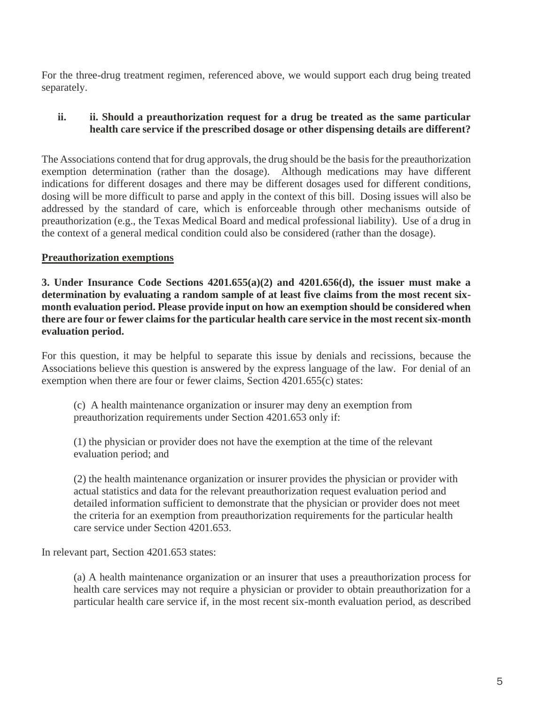For the three-drug treatment regimen, referenced above, we would support each drug being treated separately.

### **ii. ii. Should a preauthorization request for a drug be treated as the same particular health care service if the prescribed dosage or other dispensing details are different?**

The Associations contend that for drug approvals, the drug should be the basis for the preauthorization exemption determination (rather than the dosage). Although medications may have different indications for different dosages and there may be different dosages used for different conditions, dosing will be more difficult to parse and apply in the context of this bill. Dosing issues will also be addressed by the standard of care, which is enforceable through other mechanisms outside of preauthorization (e.g., the Texas Medical Board and medical professional liability). Use of a drug in the context of a general medical condition could also be considered (rather than the dosage).

# **Preauthorization exemptions**

**3. Under Insurance Code Sections 4201.655(a)(2) and 4201.656(d), the issuer must make a determination by evaluating a random sample of at least five claims from the most recent sixmonth evaluation period. Please provide input on how an exemption should be considered when there are four or fewer claims for the particular health care service in the most recent six-month evaluation period.** 

For this question, it may be helpful to separate this issue by denials and recissions, because the Associations believe this question is answered by the express language of the law. For denial of an exemption when there are four or fewer claims, Section 4201.655(c) states:

(c) A health maintenance organization or insurer may deny an exemption from preauthorization requirements under Section 4201.653 only if:

(1) the physician or provider does not have the exemption at the time of the relevant evaluation period; and

(2) the health maintenance organization or insurer provides the physician or provider with actual statistics and data for the relevant preauthorization request evaluation period and detailed information sufficient to demonstrate that the physician or provider does not meet the criteria for an exemption from preauthorization requirements for the particular health care service under Section 4201.653.

In relevant part, Section 4201.653 states:

(a) A health maintenance organization or an insurer that uses a preauthorization process for health care services may not require a physician or provider to obtain preauthorization for a particular health care service if, in the most recent six-month evaluation period, as described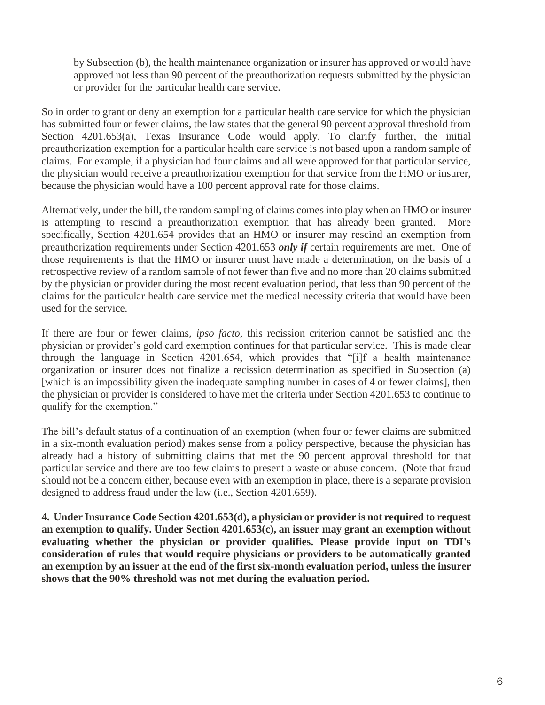by Subsection (b), the health maintenance organization or insurer has approved or would have approved not less than 90 percent of the preauthorization requests submitted by the physician or provider for the particular health care service.

So in order to grant or deny an exemption for a particular health care service for which the physician has submitted four or fewer claims, the law states that the general 90 percent approval threshold from Section 4201.653(a), Texas Insurance Code would apply. To clarify further, the initial preauthorization exemption for a particular health care service is not based upon a random sample of claims. For example, if a physician had four claims and all were approved for that particular service, the physician would receive a preauthorization exemption for that service from the HMO or insurer, because the physician would have a 100 percent approval rate for those claims.

Alternatively, under the bill, the random sampling of claims comes into play when an HMO or insurer is attempting to rescind a preauthorization exemption that has already been granted. More specifically, Section 4201.654 provides that an HMO or insurer may rescind an exemption from preauthorization requirements under Section 4201.653 *only if* certain requirements are met. One of those requirements is that the HMO or insurer must have made a determination, on the basis of a retrospective review of a random sample of not fewer than five and no more than 20 claims submitted by the physician or provider during the most recent evaluation period, that less than 90 percent of the claims for the particular health care service met the medical necessity criteria that would have been used for the service.

If there are four or fewer claims, *ipso facto,* this recission criterion cannot be satisfied and the physician or provider's gold card exemption continues for that particular service. This is made clear through the language in Section 4201.654, which provides that "[i]f a health maintenance organization or insurer does not finalize a recission determination as specified in Subsection (a) [which is an impossibility given the inadequate sampling number in cases of 4 or fewer claims], then the physician or provider is considered to have met the criteria under Section 4201.653 to continue to qualify for the exemption."

The bill's default status of a continuation of an exemption (when four or fewer claims are submitted in a six-month evaluation period) makes sense from a policy perspective, because the physician has already had a history of submitting claims that met the 90 percent approval threshold for that particular service and there are too few claims to present a waste or abuse concern. (Note that fraud should not be a concern either, because even with an exemption in place, there is a separate provision designed to address fraud under the law (i.e., Section 4201.659).

**4. Under Insurance Code Section 4201.653(d), a physician or provider is not required to request an exemption to qualify. Under Section 4201.653(c), an issuer may grant an exemption without evaluating whether the physician or provider qualifies. Please provide input on TDI's consideration of rules that would require physicians or providers to be automatically granted an exemption by an issuer at the end of the first six-month evaluation period, unless the insurer shows that the 90% threshold was not met during the evaluation period.**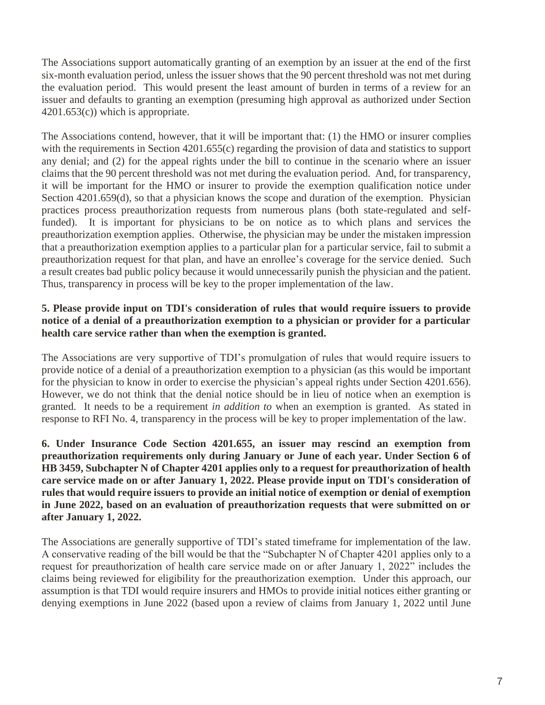The Associations support automatically granting of an exemption by an issuer at the end of the first six-month evaluation period, unless the issuer shows that the 90 percent threshold was not met during the evaluation period. This would present the least amount of burden in terms of a review for an issuer and defaults to granting an exemption (presuming high approval as authorized under Section  $4201.653(c)$ ) which is appropriate.

The Associations contend, however, that it will be important that: (1) the HMO or insurer complies with the requirements in Section 4201.655(c) regarding the provision of data and statistics to support any denial; and (2) for the appeal rights under the bill to continue in the scenario where an issuer claims that the 90 percent threshold was not met during the evaluation period. And, for transparency, it will be important for the HMO or insurer to provide the exemption qualification notice under Section 4201.659(d), so that a physician knows the scope and duration of the exemption. Physician practices process preauthorization requests from numerous plans (both state-regulated and selffunded). It is important for physicians to be on notice as to which plans and services the preauthorization exemption applies. Otherwise, the physician may be under the mistaken impression that a preauthorization exemption applies to a particular plan for a particular service, fail to submit a preauthorization request for that plan, and have an enrollee's coverage for the service denied. Such a result creates bad public policy because it would unnecessarily punish the physician and the patient. Thus, transparency in process will be key to the proper implementation of the law.

### **5. Please provide input on TDI's consideration of rules that would require issuers to provide notice of a denial of a preauthorization exemption to a physician or provider for a particular health care service rather than when the exemption is granted.**

The Associations are very supportive of TDI's promulgation of rules that would require issuers to provide notice of a denial of a preauthorization exemption to a physician (as this would be important for the physician to know in order to exercise the physician's appeal rights under Section 4201.656). However, we do not think that the denial notice should be in lieu of notice when an exemption is granted. It needs to be a requirement *in addition to* when an exemption is granted. As stated in response to RFI No. 4, transparency in the process will be key to proper implementation of the law.

**6. Under Insurance Code Section 4201.655, an issuer may rescind an exemption from preauthorization requirements only during January or June of each year. Under Section 6 of HB 3459, Subchapter N of Chapter 4201 applies only to a request for preauthorization of health care service made on or after January 1, 2022. Please provide input on TDI's consideration of rules that would require issuers to provide an initial notice of exemption or denial of exemption in June 2022, based on an evaluation of preauthorization requests that were submitted on or after January 1, 2022.**

The Associations are generally supportive of TDI's stated timeframe for implementation of the law. A conservative reading of the bill would be that the "Subchapter N of Chapter 4201 applies only to a request for preauthorization of health care service made on or after January 1, 2022" includes the claims being reviewed for eligibility for the preauthorization exemption. Under this approach, our assumption is that TDI would require insurers and HMOs to provide initial notices either granting or denying exemptions in June 2022 (based upon a review of claims from January 1, 2022 until June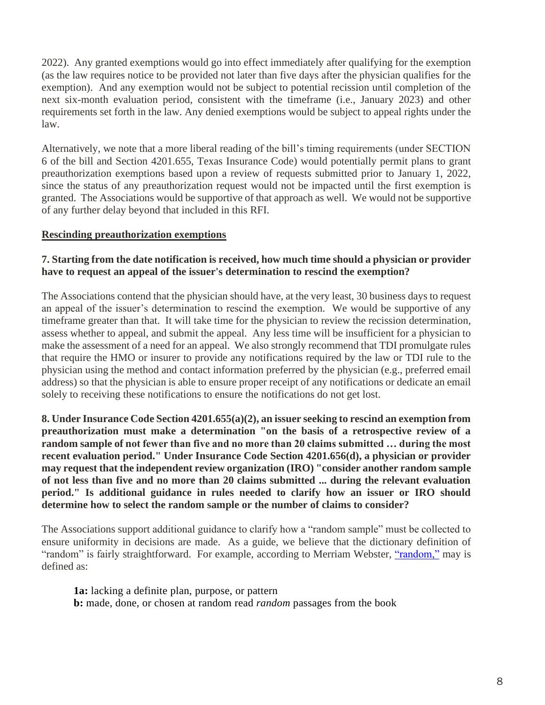2022). Any granted exemptions would go into effect immediately after qualifying for the exemption (as the law requires notice to be provided not later than five days after the physician qualifies for the exemption). And any exemption would not be subject to potential recission until completion of the next six-month evaluation period, consistent with the timeframe (i.e., January 2023) and other requirements set forth in the law. Any denied exemptions would be subject to appeal rights under the law.

Alternatively, we note that a more liberal reading of the bill's timing requirements (under SECTION 6 of the bill and Section 4201.655, Texas Insurance Code) would potentially permit plans to grant preauthorization exemptions based upon a review of requests submitted prior to January 1, 2022, since the status of any preauthorization request would not be impacted until the first exemption is granted. The Associations would be supportive of that approach as well. We would not be supportive of any further delay beyond that included in this RFI.

# **Rescinding preauthorization exemptions**

### **7. Starting from the date notification is received, how much time should a physician or provider have to request an appeal of the issuer's determination to rescind the exemption?**

The Associations contend that the physician should have, at the very least, 30 business days to request an appeal of the issuer's determination to rescind the exemption. We would be supportive of any timeframe greater than that. It will take time for the physician to review the recission determination, assess whether to appeal, and submit the appeal. Any less time will be insufficient for a physician to make the assessment of a need for an appeal. We also strongly recommend that TDI promulgate rules that require the HMO or insurer to provide any notifications required by the law or TDI rule to the physician using the method and contact information preferred by the physician (e.g., preferred email address) so that the physician is able to ensure proper receipt of any notifications or dedicate an email solely to receiving these notifications to ensure the notifications do not get lost.

**8. Under Insurance Code Section 4201.655(a)(2), an issuer seeking to rescind an exemption from preauthorization must make a determination "on the basis of a retrospective review of a random sample of not fewer than five and no more than 20 claims submitted … during the most recent evaluation period." Under Insurance Code Section 4201.656(d), a physician or provider may request that the independent review organization (IRO) "consider another random sample of not less than five and no more than 20 claims submitted ... during the relevant evaluation period." Is additional guidance in rules needed to clarify how an issuer or IRO should determine how to select the random sample or the number of claims to consider?**

The Associations support additional guidance to clarify how a "random sample" must be collected to ensure uniformity in decisions are made. As a guide, we believe that the dictionary definition of "random" is fairly straightforward. For example, according to Merriam Webster, ["random,"](https://www.merriam-webster.com/dictionary/random) may is defined as:

**1a:** lacking a definite plan, purpose, or pattern **b:** made, done, or chosen at random read *random* passages from the book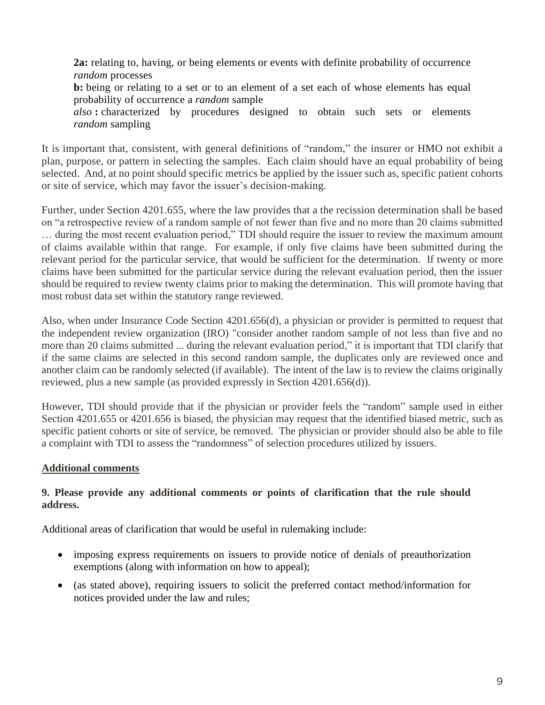**2a:** relating to, having, or being elements or events with definite probability of occurrence *random* processes **b:** being or relating to a set or to an element of a set each of whose elements has equal probability of occurrence a *random* sample *also* **:** characterized by procedures designed to obtain such sets or elements *random* sampling

It is important that, consistent, with general definitions of "random," the insurer or HMO not exhibit a plan, purpose, or pattern in selecting the samples. Each claim should have an equal probability of being selected. And, at no point should specific metrics be applied by the issuer such as, specific patient cohorts or site of service, which may favor the issuer's decision-making.

Further, under Section 4201.655, where the law provides that a the recission determination shall be based on "a retrospective review of a random sample of not fewer than five and no more than 20 claims submitted … during the most recent evaluation period," TDI should require the issuer to review the maximum amount of claims available within that range. For example, if only five claims have been submitted during the relevant period for the particular service, that would be sufficient for the determination. If twenty or more claims have been submitted for the particular service during the relevant evaluation period, then the issuer should be required to review twenty claims prior to making the determination. This will promote having that most robust data set within the statutory range reviewed.

Also, when under Insurance Code Section 4201.656(d), a physician or provider is permitted to request that the independent review organization (IRO) "consider another random sample of not less than five and no more than 20 claims submitted ... during the relevant evaluation period," it is important that TDI clarify that if the same claims are selected in this second random sample, the duplicates only are reviewed once and another claim can be randomly selected (if available). The intent of the law is to review the claims originally reviewed, plus a new sample (as provided expressly in Section 4201.656(d)).

However, TDI should provide that if the physician or provider feels the "random" sample used in either Section 4201.655 or 4201.656 is biased, the physician may request that the identified biased metric, such as specific patient cohorts or site of service, be removed. The physician or provider should also be able to file a complaint with TDI to assess the "randomness" of selection procedures utilized by issuers.

# **Additional comments**

# **9. Please provide any additional comments or points of clarification that the rule should address.**

Additional areas of clarification that would be useful in rulemaking include:

- imposing express requirements on issuers to provide notice of denials of preauthorization exemptions (along with information on how to appeal);
- (as stated above), requiring issuers to solicit the preferred contact method/information for notices provided under the law and rules;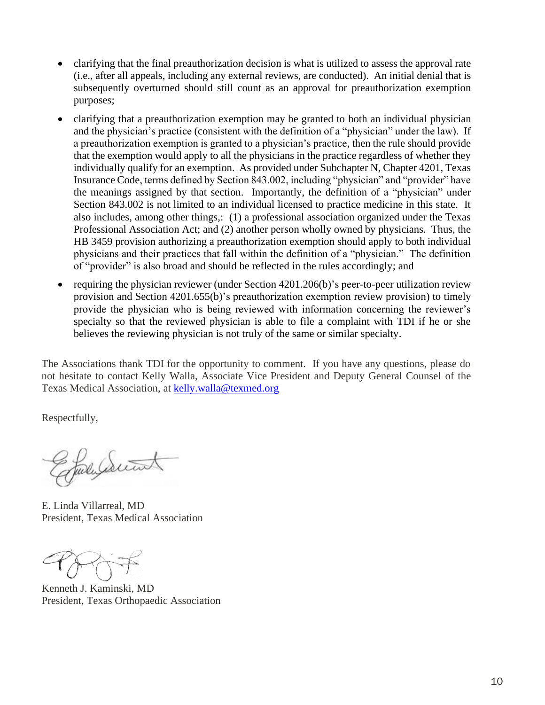- clarifying that the final preauthorization decision is what is utilized to assess the approval rate (i.e., after all appeals, including any external reviews, are conducted). An initial denial that is subsequently overturned should still count as an approval for preauthorization exemption purposes;
- clarifying that a preauthorization exemption may be granted to both an individual physician and the physician's practice (consistent with the definition of a "physician" under the law). If a preauthorization exemption is granted to a physician's practice, then the rule should provide that the exemption would apply to all the physicians in the practice regardless of whether they individually qualify for an exemption. As provided under Subchapter N, Chapter 4201, Texas Insurance Code, terms defined by Section 843.002, including "physician" and "provider" have the meanings assigned by that section. Importantly, the definition of a "physician" under Section 843.002 is not limited to an individual licensed to practice medicine in this state. It also includes, among other things,: (1) a professional association organized under the Texas Professional Association Act; and (2) another person wholly owned by physicians. Thus, the HB 3459 provision authorizing a preauthorization exemption should apply to both individual physicians and their practices that fall within the definition of a "physician." The definition of "provider" is also broad and should be reflected in the rules accordingly; and
- requiring the physician reviewer (under Section 4201.206(b)'s peer-to-peer utilization review provision and Section 4201.655(b)'s preauthorization exemption review provision) to timely provide the physician who is being reviewed with information concerning the reviewer's specialty so that the reviewed physician is able to file a complaint with TDI if he or she believes the reviewing physician is not truly of the same or similar specialty.

The Associations thank TDI for the opportunity to comment. If you have any questions, please do not hesitate to contact Kelly Walla, Associate Vice President and Deputy General Counsel of the Texas Medical Association, at [kelly.walla@texmed.org](mailto:kelly.walla@texmed.org)

Respectfully,

July Swint

E. Linda Villarreal, MD President, Texas Medical Association

Kenneth J. Kaminski, MD President, Texas Orthopaedic Association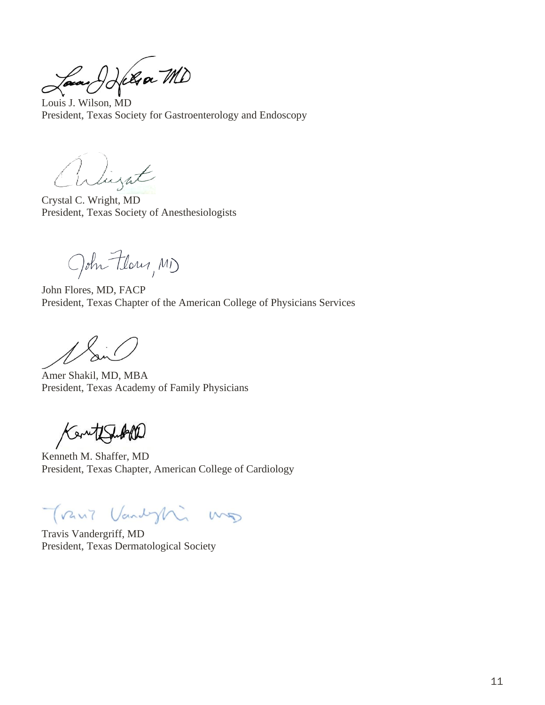Louis J. Wilson, MD

President, Texas Society for Gastroenterology and Endoscopy

arlingat

Crystal C. Wright, MD President, Texas Society of Anesthesiologists

John Flory, MD

John Flores, MD, FACP President, Texas Chapter of the American College of Physicians Services

Amer Shakil, MD, MBA President, Texas Academy of Family Physicians

Kentflat

Kenneth M. Shaffer, MD President, Texas Chapter, American College of Cardiology

Trant Vandyhi mg

Travis Vandergriff, MD President, Texas Dermatological Society